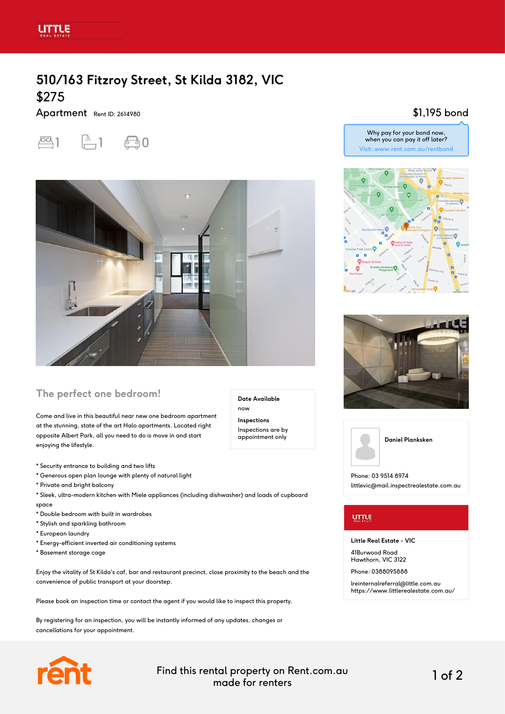# **510/163 Fitzroy Street, St Kilda 3182, VIC** \$275

Apartment Rent ID: 2614980





## **The perfect one bedroom!**

Come and live in this beautiful near new one bedroom apartment at the stunning, state of the art Halo apartments. Located right opposite Albert Park, all you need to do is move in and start enjoying the lifestyle.

- \* Security entrance to building and two lifts
- \* Generous open plan lounge with plenty of natural light
- \* Private and bright balcony
- \* Sleek, ultra-modern kitchen with Miele appliances (including dishwasher) and loads of cupboard space
- \* Double bedroom with built in wardrobes
- \* Stylish and sparkling bathroom
- \* European laundry
- \* Energy-efficient inverted air conditioning systems
- \* Basement storage cage

Enjoy the vitality of St Kilda's caf, bar and restaurant precinct, close proximity to the beach and the convenience of public transport at your doorstep.

Please book an inspection time or contact the agent if you would like to inspect this property.

By registering for an inspection, you will be instantly informed of any updates, changes or cancellations for your appointment.



Find this rental property on Rent.com.au made for renters 1 of 2

**Date Available**

now **Inspections** Inspections are by appointment only

## \$1,195 bond









Phone: 03 9514 8974 littlevic@mail.inspectrealestate.com.au

### urrus

#### **Little Real Estate - VIC**

41Burwood Road Hawthorn, VIC 3122

Phone: 0388095888

lreinternalreferral@little.com.au https://www.littlerealestate.com.au/